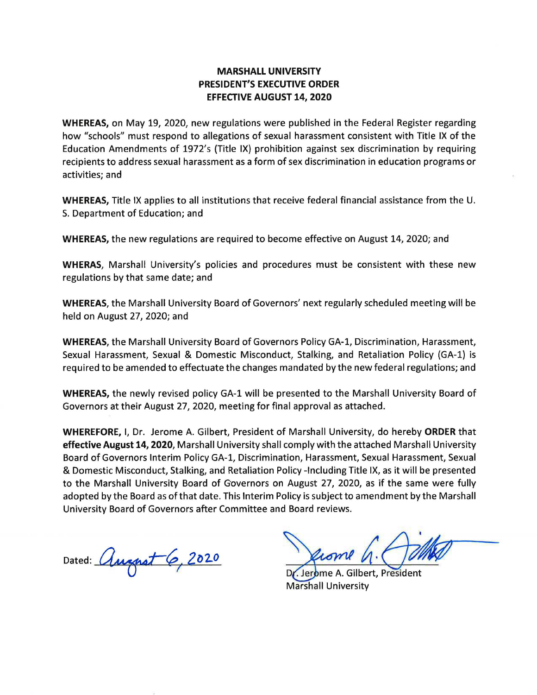## **MARSHALL UNIVERSITY PRESIDENT'S EXECUTIVE ORDER EFFECTIVE AUGUST 14, 2020**

**WHEREAS,** on May 19, 2020, new regulations were published in the Federal Register regarding how "schools" must respond to allegations of sexual harassment consistent with Title IX of the Education Amendments of 1972's (Title IX) prohibition against sex discrimination by requiring recipients to address sexual harassment as a form of sex discrimination in education programs or activities; and

**WHEREAS,** Title IX applies to all institutions that receive federal financial assistance from the U. S. Department of Education; and

**WHEREAS,** the new regulations are required to become effective on August 14, 2020; and

**WHERAS,** Marshall University's policies and procedures must be consistent with these new regulations by that same date; and

**WHEREAS,** the Marshall University Board of Governors' next regularly scheduled meeting will be held on August 27, 2020; and

**WHEREAS,** the Marshall University Board of Governors Policy GA-1, Discrimination, Harassment, Sexual Harassment, Sexual & Domestic Misconduct, Stalking, and Retaliation Policy (GA-1) is required to be amended to effectuate the changes mandated by the new federal regulations; and

**WHEREAS,** the newly revised policy GA-1 will be presented to the Marshall University Board of Governors at their August 27, 2020, meeting for final approval as attached.

**WHEREFORE,** I, Dr. Jerome A. Gilbert, President of Marshall University, do hereby **ORDER** that **effective August 14, 2020,** Marshall University shall comply with the attached Marshall University Board of Governors Interim Policy GA-1, Discrimination, Harassment, Sexual Harassment, Sexual & Domestic Misconduct, Stalking, and Retaliation Policy -Including Title IX, as it will be presented to the Marshall University Board of Governors on August 27, 2020, as if the same were fully adopted by the Board as of that date. This Interim Policy is subject to amendment by the Marshall University Board of Governors after Committee and Board reviews.

Dated: *August 6*, 2020

Gilbert, President Marshall University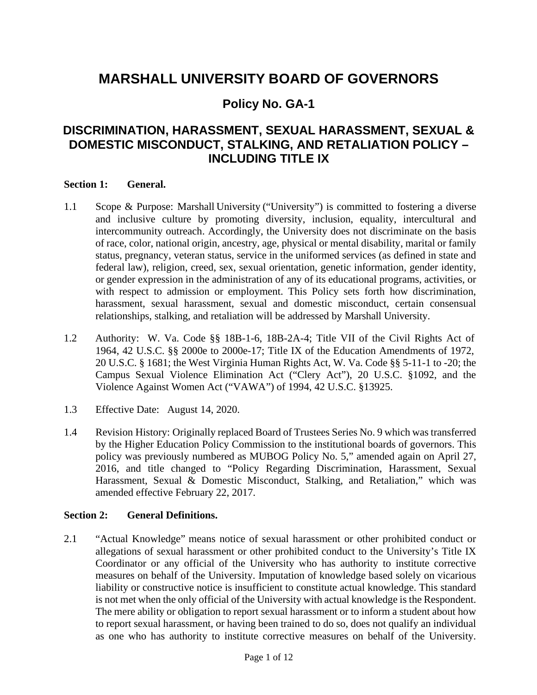# **MARSHALL UNIVERSITY BOARD OF GOVERNORS**

## **Policy No. GA-1**

## **DISCRIMINATION, HARASSMENT, SEXUAL HARASSMENT, SEXUAL & DOMESTIC MISCONDUCT, STALKING, AND RETALIATION POLICY – INCLUDING TITLE IX**

## **Section 1: General.**

- 1.1 Scope & Purpose: Marshall University ("University") is committed to fostering a diverse and inclusive culture by promoting diversity, inclusion, equality, intercultural and intercommunity outreach. Accordingly, the University does not discriminate on the basis of race, color, national origin, ancestry, age, physical or mental disability, marital or family status, pregnancy, veteran status, service in the uniformed services (as defined in state and federal law), religion, creed, sex, sexual orientation, genetic information, gender identity, or gender expression in the administration of any of its educational programs, activities, or with respect to admission or employment. This Policy sets forth how discrimination, harassment, sexual harassment, sexual and domestic misconduct, certain consensual relationships, stalking, and retaliation will be addressed by Marshall University.
- 1.2 Authority: W. Va. Code §§ 18B-1-6, 18B-2A-4; Title VII of the Civil Rights Act of 1964, 42 U.S.C. §§ 2000e to 2000e-17; Title IX of the Education Amendments of 1972, 20 U.S.C. § 1681; the West Virginia Human Rights Act, W. Va. Code §§ 5-11-1 to -20; the Campus Sexual Violence Elimination Act ("Clery Act"), 20 U.S.C. §1092, and the Violence Against Women Act ("VAWA") of 1994, 42 U.S.C. §13925.
- 1.3 Effective Date: August 14, 2020.
- 1.4 Revision History: Originally replaced Board of Trustees Series No. 9 which was transferred by the Higher Education Policy Commission to the institutional boards of governors. This policy was previously numbered as MUBOG Policy No. 5," amended again on April 27, 2016, and title changed to "Policy Regarding Discrimination, Harassment, Sexual Harassment, Sexual & Domestic Misconduct, Stalking, and Retaliation," which was amended effective February 22, 2017.

## **Section 2: General Definitions.**

2.1 "Actual Knowledge" means notice of sexual harassment or other prohibited conduct or allegations of sexual harassment or other prohibited conduct to the University's Title IX Coordinator or any official of the University who has authority to institute corrective measures on behalf of the University. Imputation of knowledge based solely on vicarious liability or constructive notice is insufficient to constitute actual knowledge. This standard is not met when the only official of the University with actual knowledge is the Respondent. The mere ability or obligation to report sexual harassment or to inform a student about how to report sexual harassment, or having been trained to do so, does not qualify an individual as one who has authority to institute corrective measures on behalf of the University.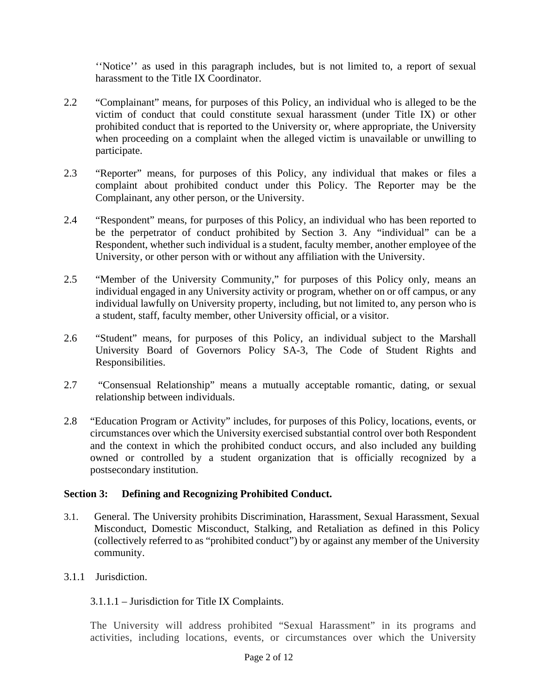''Notice'' as used in this paragraph includes, but is not limited to, a report of sexual harassment to the Title IX Coordinator.

- 2.2 "Complainant" means, for purposes of this Policy, an individual who is alleged to be the victim of conduct that could constitute sexual harassment (under Title IX) or other prohibited conduct that is reported to the University or, where appropriate, the University when proceeding on a complaint when the alleged victim is unavailable or unwilling to participate.
- 2.3 "Reporter" means, for purposes of this Policy, any individual that makes or files a complaint about prohibited conduct under this Policy. The Reporter may be the Complainant, any other person, or the University.
- 2.4 "Respondent" means, for purposes of this Policy, an individual who has been reported to be the perpetrator of conduct prohibited by Section 3. Any "individual" can be a Respondent, whether such individual is a student, faculty member, another employee of the University, or other person with or without any affiliation with the University.
- 2.5 "Member of the University Community," for purposes of this Policy only, means an individual engaged in any University activity or program, whether on or off campus, or any individual lawfully on University property, including, but not limited to, any person who is a student, staff, faculty member, other University official, or a visitor.
- 2.6 "Student" means, for purposes of this Policy, an individual subject to the Marshall University Board of Governors Policy SA-3, The Code of Student Rights and Responsibilities.
- 2.7 "Consensual Relationship" means a mutually acceptable romantic, dating, or sexual relationship between individuals.
- 2.8 "Education Program or Activity" includes, for purposes of this Policy, locations, events, or circumstances over which the University exercised substantial control over both Respondent and the context in which the prohibited conduct occurs, and also included any building owned or controlled by a student organization that is officially recognized by a postsecondary institution.

## **Section 3: Defining and Recognizing Prohibited Conduct.**

- 3.1. General. The University prohibits Discrimination, Harassment, Sexual Harassment, Sexual Misconduct, Domestic Misconduct, Stalking, and Retaliation as defined in this Policy (collectively referred to as "prohibited conduct") by or against any member of the University community.
- 3.1.1 Jurisdiction.

## 3.1.1.1 – Jurisdiction for Title IX Complaints.

The University will address prohibited "Sexual Harassment" in its programs and activities, including locations, events, or circumstances over which the University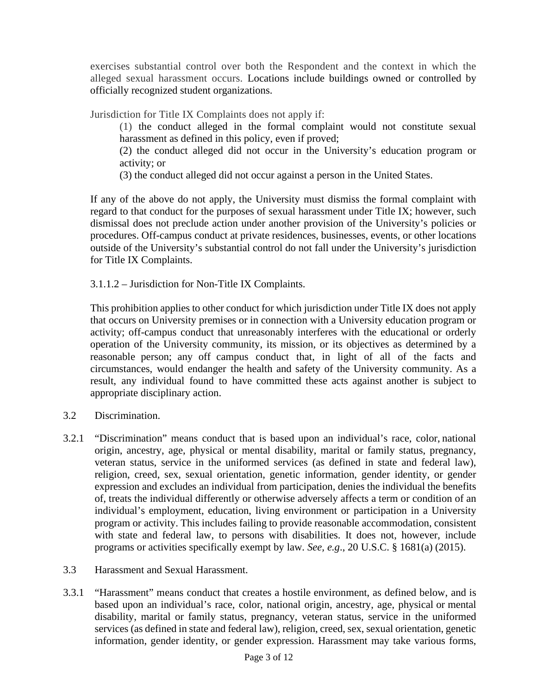exercises substantial control over both the Respondent and the context in which the alleged sexual harassment occurs. Locations include buildings owned or controlled by officially recognized student organizations.

Jurisdiction for Title IX Complaints does not apply if:

(1) the conduct alleged in the formal complaint would not constitute sexual harassment as defined in this policy, even if proved;

(2) the conduct alleged did not occur in the University's education program or activity; or

(3) the conduct alleged did not occur against a person in the United States.

If any of the above do not apply, the University must dismiss the formal complaint with regard to that conduct for the purposes of sexual harassment under Title IX; however, such dismissal does not preclude action under another provision of the University's policies or procedures. Off-campus conduct at private residences, businesses, events, or other locations outside of the University's substantial control do not fall under the University's jurisdiction for Title IX Complaints.

3.1.1.2 – Jurisdiction for Non-Title IX Complaints.

This prohibition applies to other conduct for which jurisdiction under Title IX does not apply that occurs on University premises or in connection with a University education program or activity; off-campus conduct that unreasonably interferes with the educational or orderly operation of the University community, its mission, or its objectives as determined by a reasonable person; any off campus conduct that, in light of all of the facts and circumstances, would endanger the health and safety of the University community. As a result, any individual found to have committed these acts against another is subject to appropriate disciplinary action.

- 3.2 Discrimination.
- 3.2.1 "Discrimination" means conduct that is based upon an individual's race, color, national origin, ancestry, age, physical or mental disability, marital or family status, pregnancy, veteran status, service in the uniformed services (as defined in state and federal law), religion, creed, sex, sexual orientation, genetic information, gender identity, or gender expression and excludes an individual from participation, denies the individual the benefits of, treats the individual differently or otherwise adversely affects a term or condition of an individual's employment, education, living environment or participation in a University program or activity. This includes failing to provide reasonable accommodation, consistent with state and federal law, to persons with disabilities. It does not, however, include programs or activities specifically exempt by law. *See, e.g*., 20 U.S.C. § 1681(a) (2015).
- 3.3 Harassment and Sexual Harassment.
- 3.3.1 "Harassment" means conduct that creates a hostile environment, as defined below, and is based upon an individual's race, color, national origin, ancestry, age, physical or mental disability, marital or family status, pregnancy, veteran status, service in the uniformed services (as defined in state and federal law), religion, creed, sex, sexual orientation, genetic information, gender identity, or gender expression. Harassment may take various forms,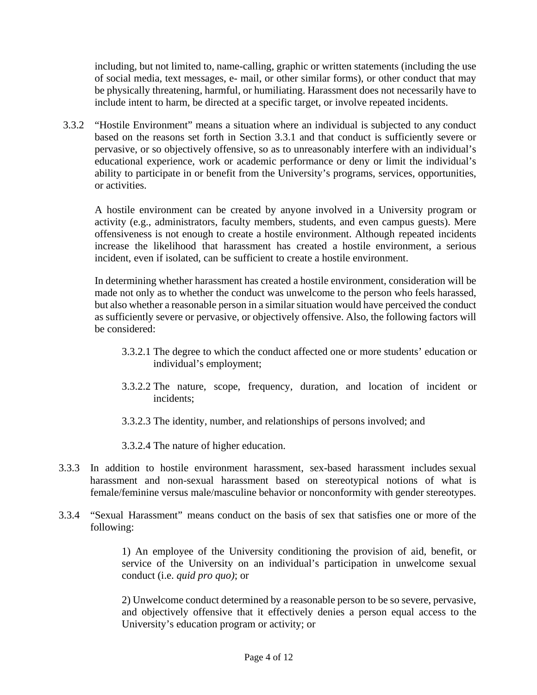including, but not limited to, name-calling, graphic or written statements (including the use of social media, text messages, e- mail, or other similar forms), or other conduct that may be physically threatening, harmful, or humiliating. Harassment does not necessarily have to include intent to harm, be directed at a specific target, or involve repeated incidents.

3.3.2 "Hostile Environment" means a situation where an individual is subjected to any conduct based on the reasons set forth in Section 3.3.1 and that conduct is sufficiently severe or pervasive, or so objectively offensive, so as to unreasonably interfere with an individual's educational experience, work or academic performance or deny or limit the individual's ability to participate in or benefit from the University's programs, services, opportunities, or activities.

A hostile environment can be created by anyone involved in a University program or activity (e.g., administrators, faculty members, students, and even campus guests). Mere offensiveness is not enough to create a hostile environment. Although repeated incidents increase the likelihood that harassment has created a hostile environment, a serious incident, even if isolated, can be sufficient to create a hostile environment.

In determining whether harassment has created a hostile environment, consideration will be made not only as to whether the conduct was unwelcome to the person who feels harassed, but also whether a reasonable person in a similar situation would have perceived the conduct as sufficiently severe or pervasive, or objectively offensive. Also, the following factors will be considered:

- 3.3.2.1 The degree to which the conduct affected one or more students' education or individual's employment;
- 3.3.2.2 The nature, scope, frequency, duration, and location of incident or incidents;
- 3.3.2.3 The identity, number, and relationships of persons involved; and

3.3.2.4 The nature of higher education.

- 3.3.3 In addition to hostile environment harassment, sex-based harassment includes sexual harassment and non-sexual harassment based on stereotypical notions of what is female/feminine versus male/masculine behavior or nonconformity with gender stereotypes.
- 3.3.4 "Sexual Harassment" means conduct on the basis of sex that satisfies one or more of the following:

1) An employee of the University conditioning the provision of aid, benefit, or service of the University on an individual's participation in unwelcome sexual conduct (i.e. *quid pro quo)*; or

2) Unwelcome conduct determined by a reasonable person to be so severe, pervasive, and objectively offensive that it effectively denies a person equal access to the University's education program or activity; or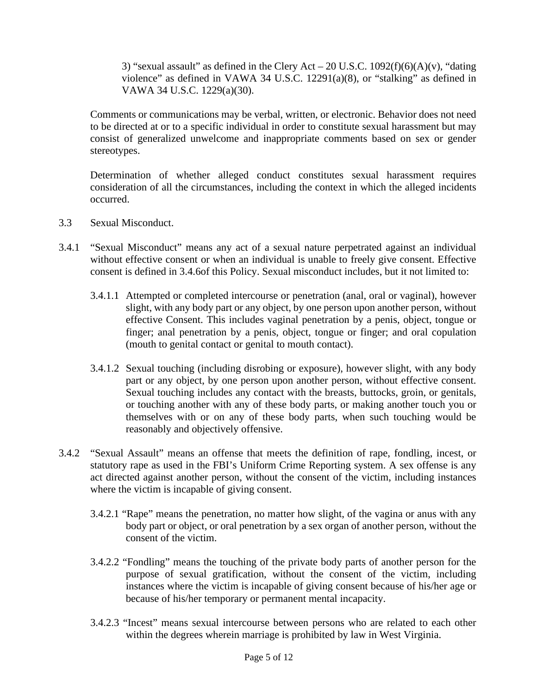3) "sexual assault" as defined in the Clery Act – 20 U.S.C.  $1092(f)(6)(A)(v)$ , "dating violence" as defined in VAWA 34 U.S.C. 12291(a)(8), or "stalking" as defined in VAWA 34 U.S.C. 1229(a)(30).

Comments or communications may be verbal, written, or electronic. Behavior does not need to be directed at or to a specific individual in order to constitute sexual harassment but may consist of generalized unwelcome and inappropriate comments based on sex or gender stereotypes.

Determination of whether alleged conduct constitutes sexual harassment requires consideration of all the circumstances, including the context in which the alleged incidents occurred.

- 3.3 Sexual Misconduct.
- 3.4.1 "Sexual Misconduct" means any act of a sexual nature perpetrated against an individual without effective consent or when an individual is unable to freely give consent. Effective consent is defined in 3.4.6of this Policy. Sexual misconduct includes, but it not limited to:
	- 3.4.1.1 Attempted or completed intercourse or penetration (anal, oral or vaginal), however slight, with any body part or any object, by one person upon another person, without effective Consent. This includes vaginal penetration by a penis, object, tongue or finger; anal penetration by a penis, object, tongue or finger; and oral copulation (mouth to genital contact or genital to mouth contact).
	- 3.4.1.2 Sexual touching (including disrobing or exposure), however slight, with any body part or any object, by one person upon another person, without effective consent. Sexual touching includes any contact with the breasts, buttocks, groin, or genitals, or touching another with any of these body parts, or making another touch you or themselves with or on any of these body parts, when such touching would be reasonably and objectively offensive.
- 3.4.2 "Sexual Assault" means an offense that meets the definition of rape, fondling, incest, or statutory rape as used in the FBI's Uniform Crime Reporting system. A sex offense is any act directed against another person, without the consent of the victim, including instances where the victim is incapable of giving consent.
	- 3.4.2.1 "Rape" means the penetration, no matter how slight, of the vagina or anus with any body part or object, or oral penetration by a sex organ of another person, without the consent of the victim.
	- 3.4.2.2 "Fondling" means the touching of the private body parts of another person for the purpose of sexual gratification, without the consent of the victim, including instances where the victim is incapable of giving consent because of his/her age or because of his/her temporary or permanent mental incapacity.
	- 3.4.2.3 "Incest" means sexual intercourse between persons who are related to each other within the degrees wherein marriage is prohibited by law in West Virginia.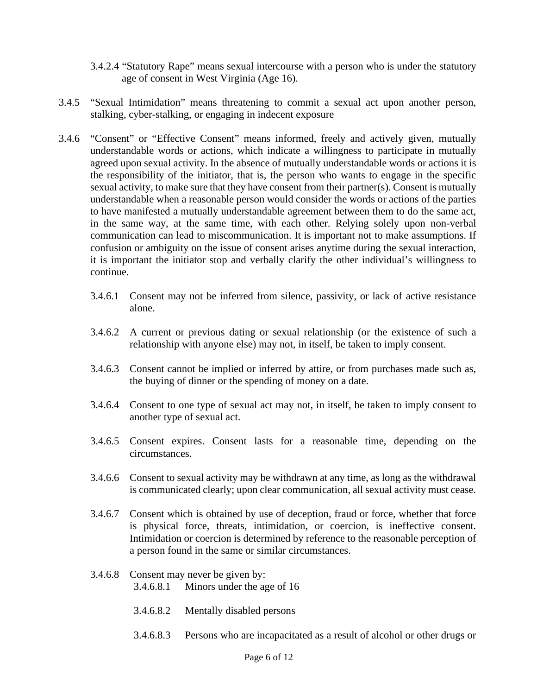- 3.4.2.4 "Statutory Rape" means sexual intercourse with a person who is under the statutory age of consent in West Virginia (Age 16).
- 3.4.5 "Sexual Intimidation" means threatening to commit a sexual act upon another person, stalking, cyber-stalking, or engaging in indecent exposure
- 3.4.6 "Consent" or "Effective Consent" means informed, freely and actively given, mutually understandable words or actions, which indicate a willingness to participate in mutually agreed upon sexual activity. In the absence of mutually understandable words or actions it is the responsibility of the initiator, that is, the person who wants to engage in the specific sexual activity, to make sure that they have consent from their partner(s). Consent is mutually understandable when a reasonable person would consider the words or actions of the parties to have manifested a mutually understandable agreement between them to do the same act, in the same way, at the same time, with each other. Relying solely upon non-verbal communication can lead to miscommunication. It is important not to make assumptions. If confusion or ambiguity on the issue of consent arises anytime during the sexual interaction, it is important the initiator stop and verbally clarify the other individual's willingness to continue.
	- 3.4.6.1 Consent may not be inferred from silence, passivity, or lack of active resistance alone.
	- 3.4.6.2 A current or previous dating or sexual relationship (or the existence of such a relationship with anyone else) may not, in itself, be taken to imply consent.
	- 3.4.6.3 Consent cannot be implied or inferred by attire, or from purchases made such as, the buying of dinner or the spending of money on a date.
	- 3.4.6.4 Consent to one type of sexual act may not, in itself, be taken to imply consent to another type of sexual act.
	- 3.4.6.5 Consent expires. Consent lasts for a reasonable time, depending on the circumstances.
	- 3.4.6.6 Consent to sexual activity may be withdrawn at any time, as long as the withdrawal is communicated clearly; upon clear communication, all sexual activity must cease.
	- 3.4.6.7 Consent which is obtained by use of deception, fraud or force, whether that force is physical force, threats, intimidation, or coercion, is ineffective consent. Intimidation or coercion is determined by reference to the reasonable perception of a person found in the same or similar circumstances.
	- 3.4.6.8 Consent may never be given by: 3.4.6.8.1 Minors under the age of 16
		- 3.4.6.8.2 Mentally disabled persons
		- 3.4.6.8.3 Persons who are incapacitated as a result of alcohol or other drugs or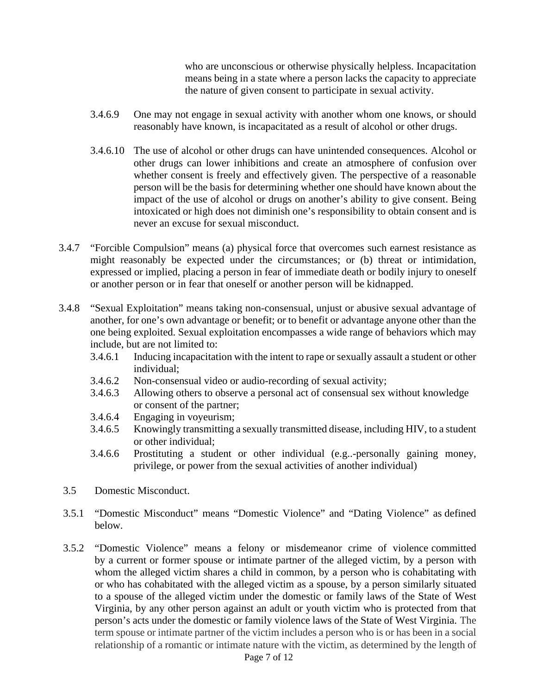who are unconscious or otherwise physically helpless. Incapacitation means being in a state where a person lacks the capacity to appreciate the nature of given consent to participate in sexual activity.

- 3.4.6.9 One may not engage in sexual activity with another whom one knows, or should reasonably have known, is incapacitated as a result of alcohol or other drugs.
- 3.4.6.10 The use of alcohol or other drugs can have unintended consequences. Alcohol or other drugs can lower inhibitions and create an atmosphere of confusion over whether consent is freely and effectively given. The perspective of a reasonable person will be the basis for determining whether one should have known about the impact of the use of alcohol or drugs on another's ability to give consent. Being intoxicated or high does not diminish one's responsibility to obtain consent and is never an excuse for sexual misconduct.
- 3.4.7 "Forcible Compulsion" means (a) physical force that overcomes such earnest resistance as might reasonably be expected under the circumstances; or (b) threat or intimidation, expressed or implied, placing a person in fear of immediate death or bodily injury to oneself or another person or in fear that oneself or another person will be kidnapped.
- 3.4.8 "Sexual Exploitation" means taking non-consensual, unjust or abusive sexual advantage of another, for one's own advantage or benefit; or to benefit or advantage anyone other than the one being exploited. Sexual exploitation encompasses a wide range of behaviors which may include, but are not limited to:
	- 3.4.6.1 Inducing incapacitation with the intent to rape or sexually assault a student or other individual;
	- 3.4.6.2 Non-consensual video or audio-recording of sexual activity;
	- 3.4.6.3 Allowing others to observe a personal act of consensual sex without knowledge or consent of the partner;
	- 3.4.6.4 Engaging in voyeurism;
	- 3.4.6.5 Knowingly transmitting a sexually transmitted disease, including HIV, to a student or other individual;
	- 3.4.6.6 Prostituting a student or other individual (e.g..-personally gaining money, privilege, or power from the sexual activities of another individual)
- 3.5 Domestic Misconduct.
- 3.5.1 "Domestic Misconduct" means "Domestic Violence" and "Dating Violence" as defined below.
- 3.5.2 "Domestic Violence" means a felony or misdemeanor crime of violence committed by a current or former spouse or intimate partner of the alleged victim, by a person with whom the alleged victim shares a child in common, by a person who is cohabitating with or who has cohabitated with the alleged victim as a spouse, by a person similarly situated to a spouse of the alleged victim under the domestic or family laws of the State of West Virginia, by any other person against an adult or youth victim who is protected from that person's acts under the domestic or family violence laws of the State of West Virginia. The term spouse or intimate partner of the victim includes a person who is or has been in a social relationship of a romantic or intimate nature with the victim, as determined by the length of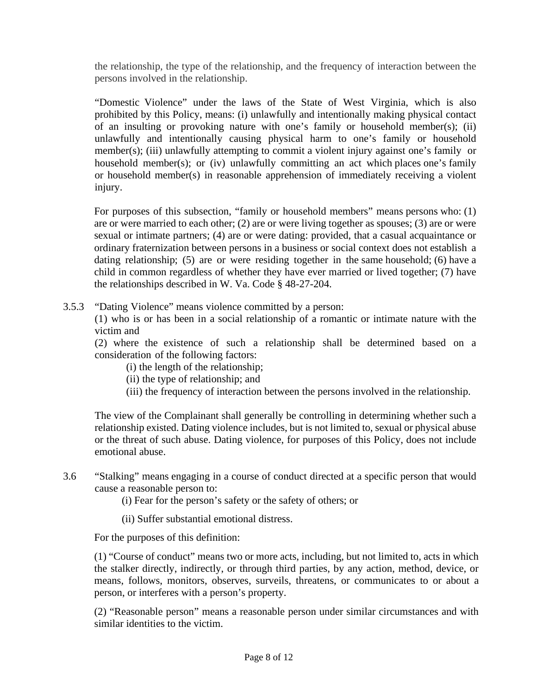the relationship, the type of the relationship, and the frequency of interaction between the persons involved in the relationship.

"Domestic Violence" under the laws of the State of West Virginia, which is also prohibited by this Policy, means: (i) unlawfully and intentionally making physical contact of an insulting or provoking nature with one's family or household member(s); (ii) unlawfully and intentionally causing physical harm to one's family or household member(s); (iii) unlawfully attempting to commit a violent injury against one's family or household member(s); or (iv) unlawfully committing an act which places one's family or household member(s) in reasonable apprehension of immediately receiving a violent injury.

For purposes of this subsection, "family or household members" means persons who: (1) are or were married to each other; (2) are or were living together as spouses; (3) are or were sexual or intimate partners; (4) are or were dating: provided, that a casual acquaintance or ordinary fraternization between persons in a business or social context does not establish a dating relationship; (5) are or were residing together in the same household; (6) have a child in common regardless of whether they have ever married or lived together; (7) have the relationships described in W. Va. Code § 48-27-204.

3.5.3 "Dating Violence" means violence committed by a person:

(1) who is or has been in a social relationship of a romantic or intimate nature with the victim and

(2) where the existence of such a relationship shall be determined based on a consideration of the following factors:

- (i) the length of the relationship;
- (ii) the type of relationship; and
- (iii) the frequency of interaction between the persons involved in the relationship.

The view of the Complainant shall generally be controlling in determining whether such a relationship existed. Dating violence includes, but is not limited to, sexual or physical abuse or the threat of such abuse. Dating violence, for purposes of this Policy, does not include emotional abuse.

- 3.6 "Stalking" means engaging in a course of conduct directed at a specific person that would cause a reasonable person to:
	- (i) Fear for the person's safety or the safety of others; or
	- (ii) Suffer substantial emotional distress.

For the purposes of this definition:

(1) "Course of conduct" means two or more acts, including, but not limited to, acts in which the stalker directly, indirectly, or through third parties, by any action, method, device, or means, follows, monitors, observes, surveils, threatens, or communicates to or about a person, or interferes with a person's property.

(2) "Reasonable person" means a reasonable person under similar circumstances and with similar identities to the victim.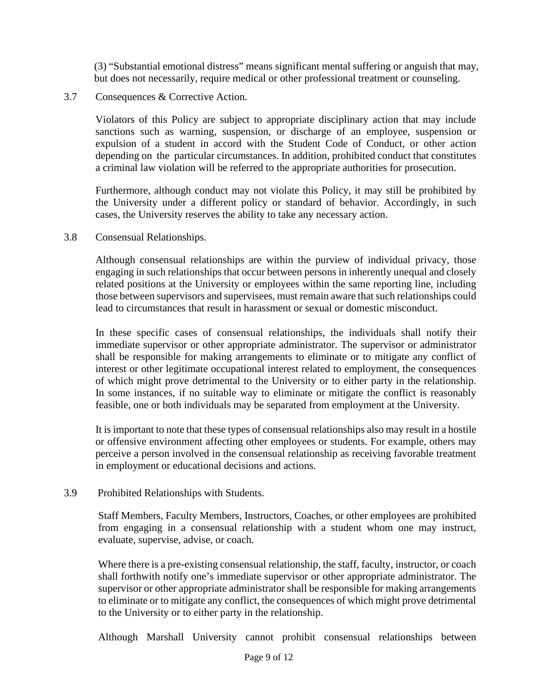(3) "Substantial emotional distress" means significant mental suffering or anguish that may, but does not necessarily, require medical or other professional treatment or counseling.

### 3.7 Consequences & Corrective Action.

Violators of this Policy are subject to appropriate disciplinary action that may include sanctions such as warning, suspension, or discharge of an employee, suspension or expulsion of a student in accord with the Student Code of Conduct, or other action depending on the particular circumstances. In addition, prohibited conduct that constitutes a criminal law violation will be referred to the appropriate authorities for prosecution.

Furthermore, although conduct may not violate this Policy, it may still be prohibited by the University under a different policy or standard of behavior. Accordingly, in such cases, the University reserves the ability to take any necessary action.

### 3.8 Consensual Relationships.

Although consensual relationships are within the purview of individual privacy, those engaging in such relationships that occur between persons in inherently unequal and closely related positions at the University or employees within the same reporting line, including those between supervisors and supervisees, must remain aware that such relationships could lead to circumstances that result in harassment or sexual or domestic misconduct.

In these specific cases of consensual relationships, the individuals shall notify their immediate supervisor or other appropriate administrator. The supervisor or administrator shall be responsible for making arrangements to eliminate or to mitigate any conflict of interest or other legitimate occupational interest related to employment, the consequences of which might prove detrimental to the University or to either party in the relationship. In some instances, if no suitable way to eliminate or mitigate the conflict is reasonably feasible, one or both individuals may be separated from employment at the University.

It is important to note that these types of consensual relationships also may result in a hostile or offensive environment affecting other employees or students. For example, others may perceive a person involved in the consensual relationship as receiving favorable treatment in employment or educational decisions and actions.

#### 3.9 Prohibited Relationships with Students.

Staff Members, Faculty Members, Instructors, Coaches, or other employees are prohibited from engaging in a consensual relationship with a student whom one may instruct, evaluate, supervise, advise, or coach.

Where there is a pre-existing consensual relationship, the staff, faculty, instructor, or coach shall forthwith notify one's immediate supervisor or other appropriate administrator. The supervisor or other appropriate administrator shall be responsible for making arrangements to eliminate or to mitigate any conflict, the consequences of which might prove detrimental to the University or to either party in the relationship.

Although Marshall University cannot prohibit consensual relationships between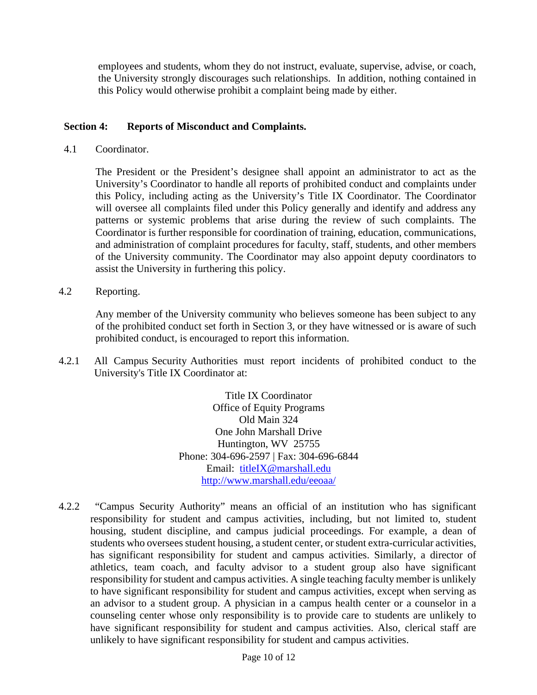employees and students, whom they do not instruct, evaluate, supervise, advise, or coach, the University strongly discourages such relationships. In addition, nothing contained in this Policy would otherwise prohibit a complaint being made by either.

## **Section 4: Reports of Misconduct and Complaints.**

4.1 Coordinator.

The President or the President's designee shall appoint an administrator to act as the University's Coordinator to handle all reports of prohibited conduct and complaints under this Policy, including acting as the University's Title IX Coordinator. The Coordinator will oversee all complaints filed under this Policy generally and identify and address any patterns or systemic problems that arise during the review of such complaints. The Coordinator is further responsible for coordination of training, education, communications, and administration of complaint procedures for faculty, staff, students, and other members of the University community. The Coordinator may also appoint deputy coordinators to assist the University in furthering this policy.

4.2 Reporting.

Any member of the University community who believes someone has been subject to any of the prohibited conduct set forth in Section 3, or they have witnessed or is aware of such prohibited conduct, is encouraged to report this information.

4.2.1 All Campus Security Authorities must report incidents of prohibited conduct to the University's Title IX Coordinator at:

> Title IX Coordinator Office of Equity Programs Old Main 324 One John Marshall Drive Huntington, WV 25755 Phone: 304-696-2597 | Fax: 304-696-6844 Email: [titleIX@marshall.edu](mailto:titleIX@marshall.edu) <http://www.marshall.edu/eeoaa/>

4.2.2 "Campus Security Authority" means an official of an institution who has significant responsibility for student and campus activities, including, but not limited to, student housing, student discipline, and campus judicial proceedings. For example, a dean of students who oversees student housing, a student center, or student extra-curricular activities, has significant responsibility for student and campus activities. Similarly, a director of athletics, team coach, and faculty advisor to a student group also have significant responsibility for student and campus activities. A single teaching faculty member is unlikely to have significant responsibility for student and campus activities, except when serving as an advisor to a student group. A physician in a campus health center or a counselor in a counseling center whose only responsibility is to provide care to students are unlikely to have significant responsibility for student and campus activities. Also, clerical staff are unlikely to have significant responsibility for student and campus activities.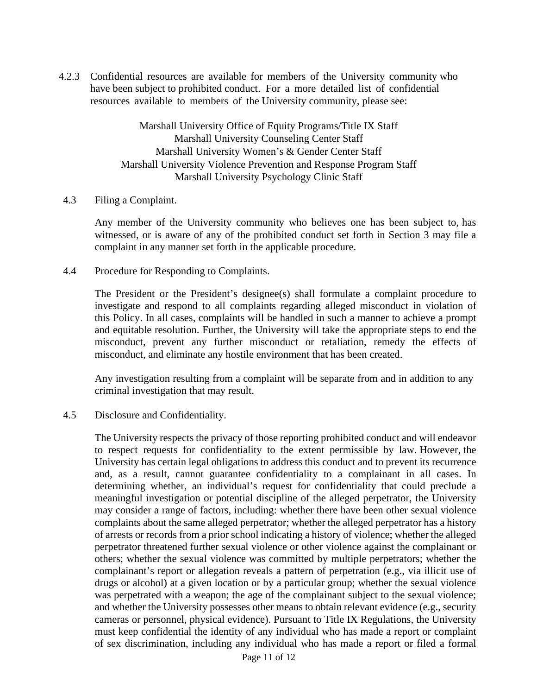4.2.3 Confidential resources are available for members of the University community who have been subject to prohibited conduct. For a more detailed list of confidential resources available to members of the University community, please see:

> Marshall University Office of Equity Programs/Title IX Staff Marshall University Counseling Center Staff Marshall University Women's & Gender Center Staff Marshall University Violence Prevention and Response Program Staff Marshall University Psychology Clinic Staff

#### 4.3 Filing a Complaint.

Any member of the University community who believes one has been subject to, has witnessed, or is aware of any of the prohibited conduct set forth in Section 3 may file a complaint in any manner set forth in the applicable procedure.

4.4 Procedure for Responding to Complaints.

The President or the President's designee(s) shall formulate a complaint procedure to investigate and respond to all complaints regarding alleged misconduct in violation of this Policy. In all cases, complaints will be handled in such a manner to achieve a prompt and equitable resolution. Further, the University will take the appropriate steps to end the misconduct, prevent any further misconduct or retaliation, remedy the effects of misconduct, and eliminate any hostile environment that has been created.

Any investigation resulting from a complaint will be separate from and in addition to any criminal investigation that may result.

4.5 Disclosure and Confidentiality.

The University respects the privacy of those reporting prohibited conduct and will endeavor to respect requests for confidentiality to the extent permissible by law. However, the University has certain legal obligations to address this conduct and to prevent its recurrence and, as a result, cannot guarantee confidentiality to a complainant in all cases. In determining whether, an individual's request for confidentiality that could preclude a meaningful investigation or potential discipline of the alleged perpetrator, the University may consider a range of factors, including: whether there have been other sexual violence complaints about the same alleged perpetrator; whether the alleged perpetrator has a history of arrests or records from a prior school indicating a history of violence; whether the alleged perpetrator threatened further sexual violence or other violence against the complainant or others; whether the sexual violence was committed by multiple perpetrators; whether the complainant's report or allegation reveals a pattern of perpetration (e.g., via illicit use of drugs or alcohol) at a given location or by a particular group; whether the sexual violence was perpetrated with a weapon; the age of the complainant subject to the sexual violence; and whether the University possesses other means to obtain relevant evidence (e.g., security cameras or personnel, physical evidence). Pursuant to Title IX Regulations, the University must keep confidential the identity of any individual who has made a report or complaint of sex discrimination, including any individual who has made a report or filed a formal